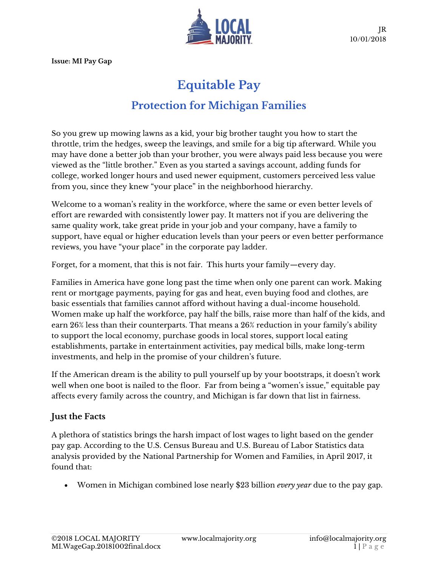**Issue: MI Pay Gap**



JR 10/01/2018

# **Equitable Pay Protection for Michigan Families**

So you grew up mowing lawns as a kid, your big brother taught you how to start the throttle, trim the hedges, sweep the leavings, and smile for a big tip afterward. While you may have done a better job than your brother, you were always paid less because you were viewed as the "little brother." Even as you started a savings account, adding funds for college, worked longer hours and used newer equipment, customers perceived less value from you, since they knew "your place" in the neighborhood hierarchy.

Welcome to a woman's reality in the workforce, where the same or even better levels of effort are rewarded with consistently lower pay. It matters not if you are delivering the same quality work, take great pride in your job and your company, have a family to support, have equal or higher education levels than your peers or even better performance reviews, you have "your place" in the corporate pay ladder.

Forget, for a moment, that this is not fair. This hurts your family—every day.

Families in America have gone long past the time when only one parent can work. Making rent or mortgage payments, paying for gas and heat, even buying food and clothes, are basic essentials that families cannot afford without having a dual-income household. Women make up half the workforce, pay half the bills, raise more than half of the kids, and earn 26% less than their counterparts. That means a 26% reduction in your family's ability to support the local economy, purchase goods in local stores, support local eating establishments, partake in entertainment activities, pay medical bills, make long-term investments, and help in the promise of your children's future.

If the American dream is the ability to pull yourself up by your bootstraps, it doesn't work well when one boot is nailed to the floor. Far from being a "women's issue," equitable pay affects every family across the country, and Michigan is far down that list in fairness.

## **Just the Facts**

A plethora of statistics brings the harsh impact of lost wages to light based on the gender pay gap. According to the U.S. Census Bureau and U.S. Bureau of Labor Statistics data analysis provided by the National Partnership for Women and Families, in April 2017, it found that:

• Women in Michigan combined lose nearly \$23 billion *every year* due to the pay gap.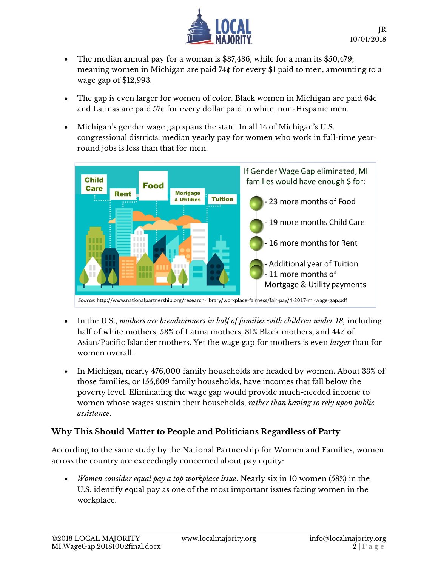

- The median annual pay for a woman is \$37,486, while for a man its \$50,479; meaning women in Michigan are paid 74¢ for every \$1 paid to men, amounting to a wage gap of \$12,993.
- The gap is even larger for women of color. Black women in Michigan are paid 64¢ and Latinas are paid 57¢ for every dollar paid to white, non-Hispanic men.
- Michigan's gender wage gap spans the state. In all 14 of Michigan's U.S. congressional districts, median yearly pay for women who work in full-time yearround jobs is less than that for men.



- In the U.S., *mothers are breadwinners in half of families with children under 18,* including half of white mothers, 53% of Latina mothers, 81% Black mothers, and 44% of Asian/Pacific Islander mothers. Yet the wage gap for mothers is even *larger* than for women overall.
- In Michigan, nearly 476,000 family households are headed by women. About 33% of those families, or 155,609 family households, have incomes that fall below the poverty level. Eliminating the wage gap would provide much-needed income to women whose wages sustain their households, *rather than having to rely upon public assistance*.

### **Why This Should Matter to People and Politicians Regardless of Party**

According to the same study by the National Partnership for Women and Families, women across the country are exceedingly concerned about pay equity:

• *Women consider equal pay a top workplace issue*. Nearly six in 10 women (58%) in the U.S. identify equal pay as one of the most important issues facing women in the workplace.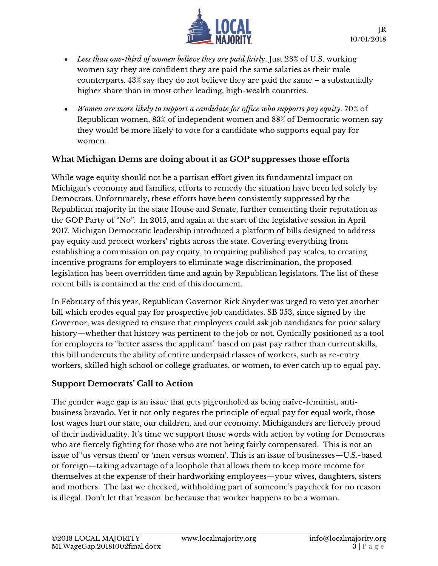

- *Less than one-third of women believe they are paid fairly*. Just 28% of U.S. working women say they are confident they are paid the same salaries as their male counterparts. 43% say they do not believe they are paid the same – a substantially higher share than in most other leading, high-wealth countries.
- *Women are more likely to support a candidate for office who supports pay equity*. 70% of Republican women, 83% of independent women and 88% of Democratic women say they would be more likely to vote for a candidate who supports equal pay for women.

#### **What Michigan Dems are doing about it as GOP suppresses those efforts**

While wage equity should not be a partisan effort given its fundamental impact on Michigan's economy and families, efforts to remedy the situation have been led solely by Democrats. Unfortunately, these efforts have been consistently suppressed by the Republican majority in the state House and Senate, further cementing their reputation as the GOP Party of "No". In 2015, and again at the start of the legislative session in April 2017, Michigan Democratic leadership introduced a platform of bills designed to address pay equity and protect workers' rights across the state. Covering everything from establishing a commission on pay equity, to requiring published pay scales, to creating incentive programs for employers to eliminate wage discrimination, the proposed legislation has been overridden time and again by Republican legislators. The list of these recent bills is contained at the end of this document.

In February of this year, Republican Governor Rick Snyder was urged to veto yet another bill which erodes equal pay for prospective job candidates. SB 353, since signed by the Governor, was designed to ensure that employers could ask job candidates for prior salary history—whether that history was pertinent to the job or not. Cynically positioned as a tool for employers to "better assess the applicant" based on past pay rather than current skills, this bill undercuts the ability of entire underpaid classes of workers, such as re-entry workers, skilled high school or college graduates, or women, to ever catch up to equal pay.

#### **Support Democrats' Call to Action**

The gender wage gap is an issue that gets pigeonholed as being naïve-feminist, antibusiness bravado. Yet it not only negates the principle of equal pay for equal work, those lost wages hurt our state, our children, and our economy. Michiganders are fiercely proud of their individuality. It's time we support those words with action by voting for Democrats who are fiercely fighting for those who are not being fairly compensated. This is not an issue of 'us versus them' or 'men versus women'. This is an issue of businesses—U.S.-based or foreign—taking advantage of a loophole that allows them to keep more income for themselves at the expense of their hardworking employees—your wives, daughters, sisters and mothers. The last we checked, withholding part of someone's paycheck for no reason is illegal. Don't let that 'reason' be because that worker happens to be a woman.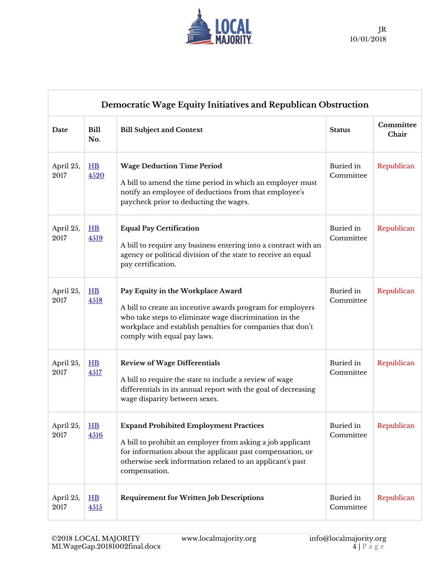

| Democratic Wage Equity Initiatives and Republican Obstruction |                      |                                                                                                                                                                                                                                                        |                        |                    |  |  |  |  |
|---------------------------------------------------------------|----------------------|--------------------------------------------------------------------------------------------------------------------------------------------------------------------------------------------------------------------------------------------------------|------------------------|--------------------|--|--|--|--|
| Date                                                          | Bill<br>No.          | <b>Bill Subject and Context</b>                                                                                                                                                                                                                        | <b>Status</b>          | Committee<br>Chair |  |  |  |  |
| April 25,<br>2017                                             | $H$ B<br>4520        | <b>Wage Deduction Time Period</b><br>A bill to amend the time period in which an employer must<br>notify an employee of deductions from that employee's<br>paycheck prior to deducting the wages.                                                      | Buried in<br>Committee | Republican         |  |  |  |  |
| April 25,<br>2017                                             | H<br>4519            | <b>Equal Pay Certification</b><br>A bill to require any business entering into a contract with an<br>agency or political division of the state to receive an equal<br>pay certification.                                                               | Buried in<br>Committee | Republican         |  |  |  |  |
| April 25,<br>2017                                             | H<br>4518            | Pay Equity in the Workplace Award<br>A bill to create an incentive awards program for employers<br>who take steps to eliminate wage discrimination in the<br>workplace and establish penalties for companies that don't<br>comply with equal pay laws. | Buried in<br>Committee | Republican         |  |  |  |  |
| April 25,<br>2017                                             | $H$ B<br>4517        | <b>Review of Wage Differentials</b><br>A bill to require the state to include a review of wage<br>differentials in its annual report with the goal of decreasing<br>wage disparity between sexes.                                                      | Buried in<br>Committee | Republican         |  |  |  |  |
| April 25,<br>2017                                             | H B<br>4516          | <b>Expand Prohibited Employment Practices</b><br>A bill to prohibit an employer from asking a job applicant<br>for information about the applicant past compensation, or<br>otherwise seek information related to an applicant's past<br>compensation. | Buried in<br>Committee | Republican         |  |  |  |  |
| April 25,<br>2017                                             | $H$ <b>B</b><br>4515 | <b>Requirement for Written Job Descriptions</b>                                                                                                                                                                                                        | Buried in<br>Committee | Republican         |  |  |  |  |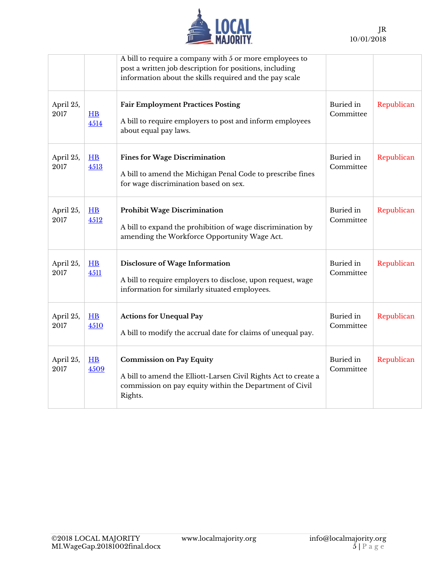

|                   |                          | A bill to require a company with 5 or more employees to<br>post a written job description for positions, including<br>information about the skills required and the pay scale |                        |            |
|-------------------|--------------------------|-------------------------------------------------------------------------------------------------------------------------------------------------------------------------------|------------------------|------------|
| April 25,<br>2017 | H B<br>4514              | <b>Fair Employment Practices Posting</b><br>A bill to require employers to post and inform employees<br>about equal pay laws.                                                 | Buried in<br>Committee | Republican |
| April 25,<br>2017 | H B<br>4513              | <b>Fines for Wage Discrimination</b><br>A bill to amend the Michigan Penal Code to prescribe fines<br>for wage discrimination based on sex.                                   | Buried in<br>Committee | Republican |
| April 25,<br>2017 | $H$ <sub>B</sub><br>4512 | <b>Prohibit Wage Discrimination</b><br>A bill to expand the prohibition of wage discrimination by<br>amending the Workforce Opportunity Wage Act.                             | Buried in<br>Committee | Republican |
| April 25,<br>2017 | H<br>4511                | Disclosure of Wage Information<br>A bill to require employers to disclose, upon request, wage<br>information for similarly situated employees.                                | Buried in<br>Committee | Republican |
| April 25,<br>2017 | H B<br>4510              | <b>Actions for Unequal Pay</b><br>A bill to modify the accrual date for claims of unequal pay.                                                                                | Buried in<br>Committee | Republican |
| April 25,<br>2017 | $H$ <b>B</b><br>4509     | <b>Commission on Pay Equity</b><br>A bill to amend the Elliott-Larsen Civil Rights Act to create a<br>commission on pay equity within the Department of Civil<br>Rights.      | Buried in<br>Committee | Republican |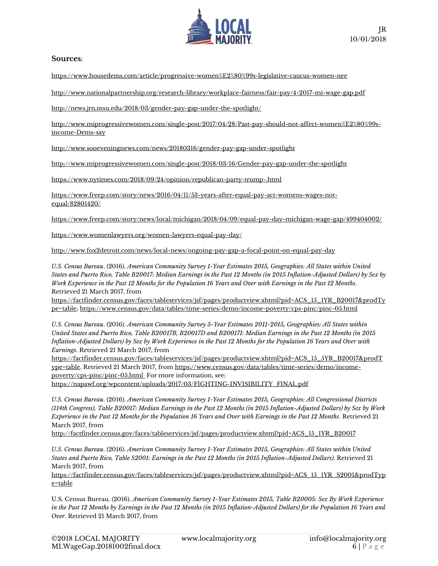

#### **Sources**:

https://www.housedems.com/article/progressive-women%E2%80%99s-legislative-caucus-women-nee

http://www.nationalpartnership.org/research-library/workplace-fairness/fair-pay/4-2017-mi-wage-gap.pdf

http://news.jrn.msu.edu/2018/03/gender-pay-gap-under-the-spotlight/

http://www.miprogressivewomen.com/single-post/2017/04/28/Past-pay-should-not-affect-women%E2%80%99sincome-Dems-say

http://www.sooeveningnews.com/news/20180316/gender-pay-gap-under-spotlight

http://www.miprogressivewomen.com/single-post/2018/03/16/Gender-pay-gap-under-the-spotlight

https://www.nytimes.com/2018/09/24/opinion/republican-party-trump-.html

https://www.freep.com/story/news/2016/04/11/53-years-after-equal-pay-act-womens-wages-notequal/82801420/

https://www.freep.com/story/news/local/michigan/2018/04/09/equal-pay-day-michigan-wage-gap/499404002/

https://www.womenlawyers.org/women-lawyers-equal-pay-day/

http://www.fox2detroit.com/news/local-news/ongoing-pay-gap-a-focal-point-on-equal-pay-day

*U.S. Census Bureau*. (2016). *American Community Survey 1-Year Estimates 2015, Geographies: All States within United States and Puerto Rico, Table B20017: Median Earnings in the Past 12 Months (in 2015 Inflation-Adjusted Dollars) by Sex by Work Experience in the Past 12 Months for the Population 16 Years and Over with Earnings in the Past 12 Months*. Retrieved 21 March 2017, from

https://factfinder.census.gov/faces/tableservices/jsf/pages/productview.xhtml?pid=ACS\_15\_1YR\_B20017&prodTy pe=table; https://www.census.gov/data/tables/time-series/demo/income-poverty/cps-pinc/pinc-05.html

*U.S. Census Bureau*. (2016). *American Community Survey 5-Year Estimates 2011-2015, Geographies: All States within United States and Puerto Rico, Table B20017B, B20017D and B20017I: Median Earnings in the Past 12 Months (in 2015 Inflation-Adjusted Dollars) by Sex by Work Experience in the Past 12 Months for the Population 16 Years and Over with Earnings*. Retrieved 21 March 2017, from

https://factfinder.census.gov/faces/tableservices/jsf/pages/productview.xhtml?pid=ACS\_15\_5YR\_B20017&prodT ype=table. Retrieved 21 March 2017, from https://www.census.gov/data/tables/time-series/demo/incomepoverty/cps-pinc/pinc-05.html For more information, see: https://napawf.org/wpcontent/uploads/2017/03/FIGHTING-INVISIBILITY\_FINAL.pdf

*U.S. Census Bureau*. (2016). *American Community Survey 1-Year Estimates 2015, Geographies: All Congressional Districts (114th Congress), Table B20017: Median Earnings in the Past 12 Months (in 2015 Inflation-Adjusted Dollars) by Sex by Work Experience in the Past 12 Months for the Population 16 Years and Over with Earnings in the Past 12 Months*. Retrieved 21 March 2017, from

http://factfinder.census.gov/faces/tableservices/jsf/pages/productview.xhtml?pid=ACS\_15\_1YR\_B20017

*U.S. Census Bureau*. (2016). *American Community Survey 1-Year Estimates 2015, Geographies: All States within United States and Puerto Rico, Table S2001: Earnings in the Past 12 Months (in 2015 Inflation-Adjusted Dollars).* Retrieved 21 March 2017, from

https://factfinder.census.gov/faces/tableservices/jsf/pages/productview.xhtml?pid=ACS\_15\_1YR\_S2001&prodTyp e=table

U.S. Census Bureau. (2016). *American Community Survey 1-Year Estimates 2015, Table B20005: Sex By Work Experience in the Past 12 Months by Earnings in the Past 12 Months (in 2015 Inflation-Adjusted Dollars) for the Population 16 Years and Over*. Retrieved 21 March 2017, from